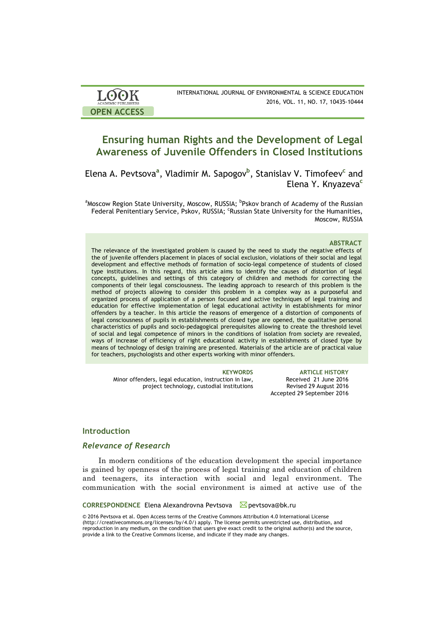| <b>LOOK</b>                | INTERNATIONAL JOURNAL OF ENVIRONMENTAL & SCIENCE EDUCATION |
|----------------------------|------------------------------------------------------------|
| <b>ACADEMIC PUBLISHERS</b> | 2016, VOL. 11, NO. 17, 10435-10444                         |
| <b>OPEN ACCESS</b>         |                                                            |

# **Ensuring human Rights and the Development of Legal Awareness of Juvenile Offenders in Closed Institutions**

Elena A. Pevtsova**<sup>a</sup>** , Vladimir M. Sapogov**<sup>b</sup>** , Stanislav V. Timofeev**<sup>c</sup>** and Elena Y. Knyazeva**<sup>c</sup>**

<sup>a</sup>Moscow Region State University, Moscow, RUSSIA; <sup>b</sup>Pskov branch of Academy of the Russian Federal Penitentiary Service, Pskov, RUSSIA; <sup>c</sup>Russian State University for the Humanities, Moscow, RUSSIA

### **ABSTRACT**

The relevance of the investigated problem is caused by the need to study the negative effects of the of juvenile offenders placement in places of social exclusion, violations of their social and legal development and effective methods of formation of socio-legal competence of students of closed type institutions. In this regard, this article aims to identify the causes of distortion of legal concepts, guidelines and settings of this category of children and methods for correcting the components of their legal consciousness. The leading approach to research of this problem is the method of projects allowing to consider this problem in a complex way as a purposeful and organized process of application of a person focused and active techniques of legal training and education for effective implementation of legal educational activity in establishments for minor offenders by a teacher. In this article the reasons of emergence of a distortion of components of legal consciousness of pupils in establishments of closed type are opened, the qualitative personal characteristics of pupils and socio-pedagogical prerequisites allowing to create the threshold level of social and legal competence of minors in the conditions of isolation from society are revealed, ways of increase of efficiency of right educational activity in establishments of closed type by means of technology of design training are presented. Materials of the article are of practical value for teachers, psychologists and other experts working with minor offenders.

Minor offenders, legal education, instruction in law, project technology, custodial institutions

**KEYWORDS ARTICLE HISTORY** Received 21 June 2016 Revised 29 August 2016 Accepted 29 September 2016

### **Introduction**

### *Relevance of Research*

In modern conditions of the education development the special importance is gained by openness of the process of legal training and education of children and teenagers, its interaction with social and legal environment. The communication with the social environment is aimed at active use of the

**CORRESPONDENCE** Elena Alexandrovna Pevtsova **⊠** pevtsova@bk.ru

© 2016 Pevtsova et al. Open Access terms of the Creative Commons Attribution 4.0 International License (http://creativecommons.org/licenses/by/4.0/) apply. The license permits unrestricted use, distribution, and reproduction in any medium, on the condition that users give exact credit to the original author(s) and the source, provide a link to the Creative Commons license, and indicate if they made any changes.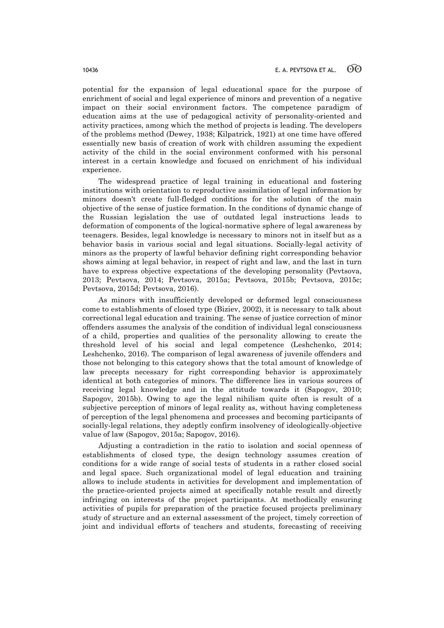potential for the expansion of legal educational space for the purpose of enrichment of social and legal experience of minors and prevention of a negative impact on their social environment factors. The competence paradigm of education aims at the use of pedagogical activity of personality-oriented and activity practices, among which the method of projects is leading. The developers of the problems method (Dewey, 1938; Kilpatrick, 1921) at one time have offered essentially new basis of creation of work with children assuming the expedient activity of the child in the social environment conformed with his personal interest in a certain knowledge and focused on enrichment of his individual experience.

The widespread practice of legal training in educational and fostering institutions with orientation to reproductive assimilation of legal information by minors doesn't create full-fledged conditions for the solution of the main objective of the sense of justice formation. In the conditions of dynamic change of the Russian legislation the use of outdated legal instructions leads to deformation of components of the logical-normative sphere of legal awareness by teenagers. Besides, legal knowledge is necessary to minors not in itself but as a behavior basis in various social and legal situations. Socially-legal activity of minors as the property of lawful behavior defining right corresponding behavior shows aiming at legal behavior, in respect of right and law, and the last in turn have to express objective expectations of the developing personality (Pevtsova, 2013; Pevtsova, 2014; Pevtsova, 2015a; Pevtsova, 2015b; Pevtsova, 2015c; Pevtsova, 2015d; Pevtsova, 2016).

As minors with insufficiently developed or deformed legal consciousness come to establishments of closed type (Biziev, 2002), it is necessary to talk about correctional legal education and training. The sense of justice correction of minor offenders assumes the analysis of the condition of individual legal consciousness of a child, properties and qualities of the personality allowing to create the threshold level of his social and legal competence (Leshchenko, 2014; Leshchenko, 2016). The comparison of legal awareness of juvenile offenders and those not belonging to this category shows that the total amount of knowledge of law precepts necessary for right corresponding behavior is approximately identical at both categories of minors. The difference lies in various sources of receiving legal knowledge and in the attitude towards it (Sapogov, 2010; Sapogov, 2015b). Owing to age the legal nihilism quite often is result of a subjective perception of minors of legal reality as, without having completeness of perception of the legal phenomena and processes and becoming participants of socially-legal relations, they adeptly confirm insolvency of ideologically-objective value of law (Sapogov, 2015a; Sapogov, 2016).

Adjusting a contradiction in the ratio to isolation and social openness of establishments of closed type, the design technology assumes creation of conditions for a wide range of social tests of students in a rather closed social and legal space. Such organizational model of legal education and training allows to include students in activities for development and implementation of the practice-oriented projects aimed at specifically notable result and directly infringing on interests of the project participants. At methodically ensuring activities of pupils for preparation of the practice focused projects preliminary study of structure and an external assessment of the project, timely correction of joint and individual efforts of teachers and students, forecasting of receiving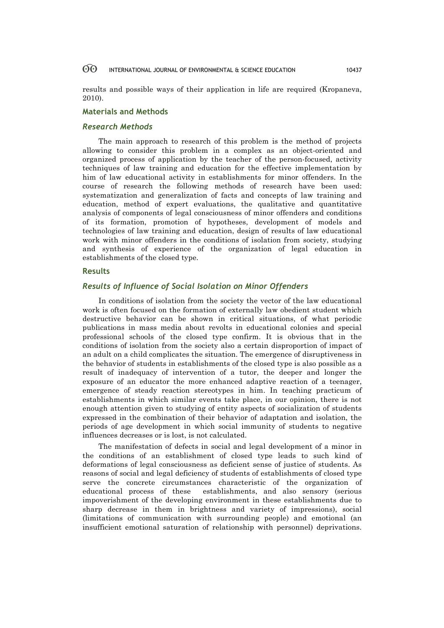results and possible ways of their application in life are required (Kropaneva, 2010).

# **Materials and Methods**

## *Research Methods*

The main approach to research of this problem is the method of projects allowing to consider this problem in a complex as an object-oriented and organized process of application by the teacher of the person-focused, activity techniques of law training and education for the effective implementation by him of law educational activity in establishments for minor offenders. In the course of research the following methods of research have been used: systematization and generalization of facts and concepts of law training and education, method of expert evaluations, the qualitative and quantitative analysis of components of legal consciousness of minor offenders and conditions of its formation, promotion of hypotheses, development of models and technologies of law training and education, design of results of law educational work with minor offenders in the conditions of isolation from society, studying and synthesis of experience of the organization of legal education in establishments of the closed type.

### **Results**

### *Results of Influence of Social Isolation on Minor Offenders*

In conditions of isolation from the society the vector of the law educational work is often focused on the formation of externally law obedient student which destructive behavior can be shown in critical situations, of what periodic publications in mass media about revolts in educational colonies and special professional schools of the closed type confirm. It is obvious that in the conditions of isolation from the society also a certain disproportion of impact of an adult on a child complicates the situation. The emergence of disruptiveness in the behavior of students in establishments of the closed type is also possible as a result of inadequacy of intervention of a tutor, the deeper and longer the exposure of an educator the more enhanced adaptive reaction of a teenager, emergence of steady reaction stereotypes in him. In teaching practicum of establishments in which similar events take place, in our opinion, there is not enough attention given to studying of entity aspects of socialization of students expressed in the combination of their behavior of adaptation and isolation, the periods of age development in which social immunity of students to negative influences decreases or is lost, is not calculated.

The manifestation of defects in social and legal development of a minor in the conditions of an establishment of closed type leads to such kind of deformations of legal consciousness as deficient sense of justice of students. As reasons of social and legal deficiency of students of establishments of closed type serve the concrete circumstances characteristic of the organization of educational process of these establishments, and also sensory (serious impoverishment of the developing environment in these establishments due to sharp decrease in them in brightness and variety of impressions), social (limitations of communication with surrounding people) and emotional (an insufficient emotional saturation of relationship with personnel) deprivations.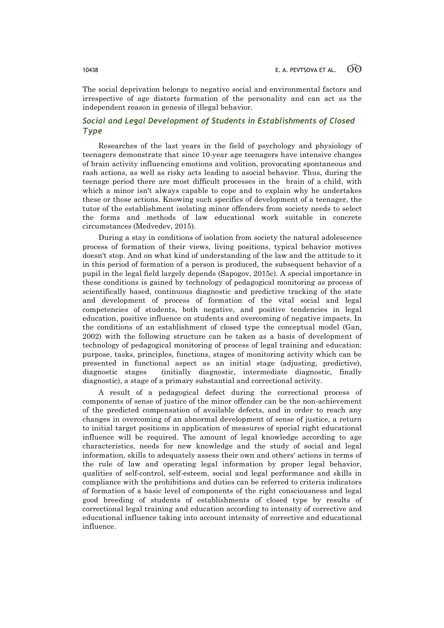The social deprivation belongs to negative social and environmental factors and irrespective of age distorts formation of the personality and can act as the independent reason in genesis of illegal behavior.

# *Social and Legal Development of Students in Establishments of Closed Type*

Researches of the last years in the field of psychology and physiology of teenagers demonstrate that since 10-year age teenagers have intensive changes of brain activity influencing emotions and volition, provocating spontaneous and rash actions, as well as risky acts leading to asocial behavior. Thus, during the teenage period there are most difficult processes in the brain of a child, with which a minor isn't always capable to cope and to explain why he undertakes these or those actions. Knowing such specifics of development of a teenager, the tutor of the establishment isolating minor offenders from society needs to select the forms and methods of law educational work suitable in concrete circumstances (Medvedev, 2015).

During a stay in conditions of isolation from society the natural adolescence process of formation of their views, living positions, typical behavior motives doesn't stop. And on what kind of understanding of the law and the attitude to it in this period of formation of a person is produced, the subsequent behavior of a pupil in the legal field largely depends (Sapogov, 2015c). A special importance in these conditions is gained by technology of pedagogical monitoring as process of scientifically based, continuous diagnostic and predictive tracking of the state and development of process of formation of the vital social and legal competencies of students, both negative, and positive tendencies in legal education, positive influence on students and overcoming of negative impacts. In the conditions of an establishment of closed type the conceptual model (Gan, 2002) with the following structure can be taken as a basis of development of technology of pedagogical monitoring of process of legal training and education: purpose, tasks, principles, functions, stages of monitoring activity which can be presented in functional aspect as an initial stage (adjusting, predictive), diagnostic stages (initially diagnostic, intermediate diagnostic, finally diagnostic), a stage of a primary substantial and correctional activity.

A result of a pedagogical defect during the correctional process of components of sense of justice of the minor offender can be the non-achievement of the predicted compensation of available defects, and in order to reach any changes in overcoming of an abnormal development of sense of justice, a return to initial target positions in application of measures of special right educational influence will be required. The amount of legal knowledge according to age characteristics, needs for new knowledge and the study of social and legal information, skills to adequately assess their own and others' actions in terms of the rule of law and operating legal information by proper legal behavior, qualities of self-control, self-esteem, social and legal performance and skills in compliance with the prohibitions and duties can be referred to criteria indicators of formation of a basic level of components of the right consciousness and legal good breeding of students of establishments of closed type by results of correctional legal training and education according to intensity of corrective and educational influence taking into account intensity of corrective and educational influence.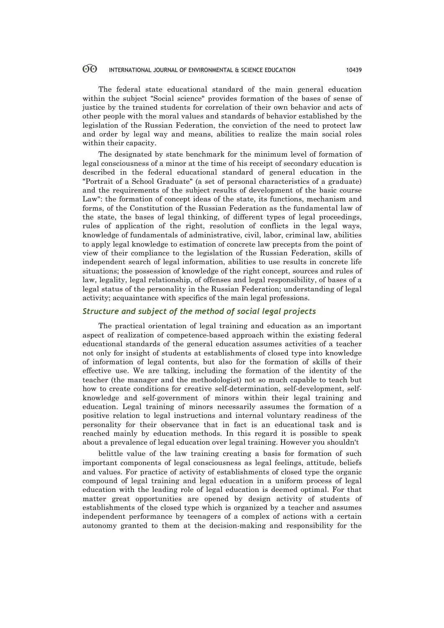The federal state educational standard of the main general education within the subject "Social science" provides formation of the bases of sense of justice by the trained students for correlation of their own behavior and acts of other people with the moral values and standards of behavior established by the legislation of the Russian Federation, the conviction of the need to protect law and order by legal way and means, abilities to realize the main social roles within their capacity.

The designated by state benchmark for the minimum level of formation of legal consciousness of a minor at the time of his receipt of secondary education is described in the federal educational standard of general education in the "Portrait of a School Graduate" (a set of personal characteristics of a graduate) and the requirements of the subject results of development of the basic course Law": the formation of concept ideas of the state, its functions, mechanism and forms, of the Constitution of the Russian Federation as the fundamental law of the state, the bases of legal thinking, of different types of legal proceedings, rules of application of the right, resolution of conflicts in the legal ways, knowledge of fundamentals of administrative, civil, labor, criminal law, abilities to apply legal knowledge to estimation of concrete law precepts from the point of view of their compliance to the legislation of the Russian Federation, skills of independent search of legal information, abilities to use results in concrete life situations; the possession of knowledge of the right concept, sources and rules of law, legality, legal relationship, of offenses and legal responsibility, of bases of a legal status of the personality in the Russian Federation; understanding of legal activity; acquaintance with specifics of the main legal professions.

### *Structure and subject of the method of social legal projects*

The practical orientation of legal training and education as an important aspect of realization of competence-based approach within the existing federal educational standards of the general education assumes activities of a teacher not only for insight of students at establishments of closed type into knowledge of information of legal contents, but also for the formation of skills of their effective use. We are talking, including the formation of the identity of the teacher (the manager and the methodologist) not so much capable to teach but how to create conditions for creative self-determination, self-development, selfknowledge and self-government of minors within their legal training and education. Legal training of minors necessarily assumes the formation of a positive relation to legal instructions and internal voluntary readiness of the personality for their observance that in fact is an educational task and is reached mainly by education methods. In this regard it is possible to speak about a prevalence of legal education over legal training. However you shouldn't

belittle value of the law training creating a basis for formation of such important components of legal consciousness as legal feelings, attitude, beliefs and values. For practice of activity of establishments of closed type the organic compound of legal training and legal education in a uniform process of legal education with the leading role of legal education is deemed optimal. For that matter great opportunities are opened by design activity of students of establishments of the closed type which is organized by a teacher and assumes independent performance by teenagers of a complex of actions with a certain autonomy granted to them at the decision-making and responsibility for the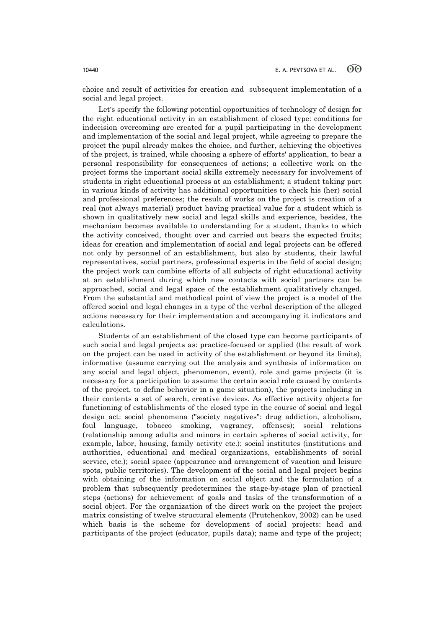choice and result of activities for creation and subsequent implementation of a social and legal project.

Let's specify the following potential opportunities of technology of design for the right educational activity in an establishment of closed type: conditions for indecision overcoming are created for a pupil participating in the development and implementation of the social and legal project, while agreeing to prepare the project the pupil already makes the choice, and further, achieving the objectives of the project, is trained, while choosing a sphere of efforts' application, to bear a personal responsibility for consequences of actions; a collective work on the project forms the important social skills extremely necessary for involvement of students in right educational process at an establishment; a student taking part in various kinds of activity has additional opportunities to check his (her) social and professional preferences; the result of works on the project is creation of a real (not always material) product having practical value for a student which is shown in qualitatively new social and legal skills and experience, besides, the mechanism becomes available to understanding for a student, thanks to which the activity conceived, thought over and carried out bears the expected fruits; ideas for creation and implementation of social and legal projects can be offered not only by personnel of an establishment, but also by students, their lawful representatives, social partners, professional experts in the field of social design; the project work can combine efforts of all subjects of right educational activity at an establishment during which new contacts with social partners can be approached, social and legal space of the establishment qualitatively changed. From the substantial and methodical point of view the project is a model of the offered social and legal changes in a type of the verbal description of the alleged actions necessary for their implementation and accompanying it indicators and calculations.

Students of an establishment of the closed type can become participants of such social and legal projects as: practice-focused or applied (the result of work on the project can be used in activity of the establishment or beyond its limits), informative (assume carrying out the analysis and synthesis of information on any social and legal object, phenomenon, event), role and game projects (it is necessary for a participation to assume the certain social role caused by contents of the project, to define behavior in a game situation), the projects including in their contents a set of search, creative devices. As effective activity objects for functioning of establishments of the closed type in the course of social and legal design act: social phenomena ("society negatives": drug addiction, alcoholism, foul language, tobacco smoking, vagrancy, offenses); social relations (relationship among adults and minors in certain spheres of social activity, for example, labor, housing, family activity etc.); social institutes (institutions and authorities, educational and medical organizations, establishments of social service, etc.); social space (appearance and arrangement of vacation and leisure spots, public territories). The development of the social and legal project begins with obtaining of the information on social object and the formulation of a problem that subsequently predetermines the stage-by-stage plan of practical steps (actions) for achievement of goals and tasks of the transformation of a social object. For the organization of the direct work on the project the project matrix consisting of twelve structural elements (Prutchenkov, 2002) can be used which basis is the scheme for development of social projects: head and participants of the project (educator, pupils data); name and type of the project;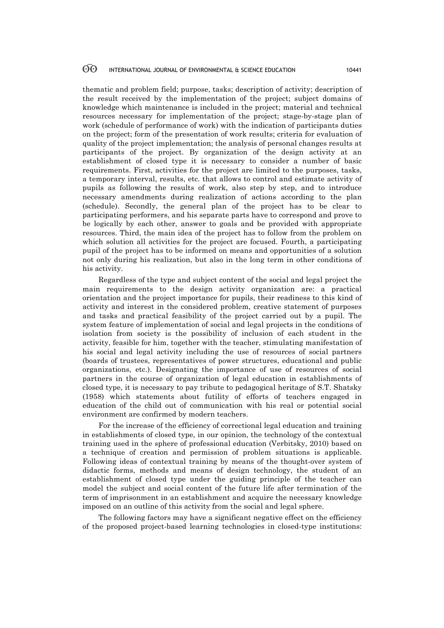thematic and problem field; purpose, tasks; description of activity; description of the result received by the implementation of the project; subject domains of knowledge which maintenance is included in the project; material and technical resources necessary for implementation of the project; stage-by-stage plan of work (schedule of performance of work) with the indication of participants duties on the project; form of the presentation of work results; criteria for evaluation of quality of the project implementation; the analysis of personal changes results at participants of the project. By organization of the design activity at an establishment of closed type it is necessary to consider a number of basic requirements. First, activities for the project are limited to the purposes, tasks, a temporary interval, results, etc. that allows to control and estimate activity of pupils as following the results of work, also step by step, and to introduce necessary amendments during realization of actions according to the plan (schedule). Secondly, the general plan of the project has to be clear to participating performers, and his separate parts have to correspond and prove to be logically by each other, answer to goals and be provided with appropriate resources. Third, the main idea of the project has to follow from the problem on which solution all activities for the project are focused. Fourth, a participating pupil of the project has to be informed on means and opportunities of a solution not only during his realization, but also in the long term in other conditions of his activity.

Regardless of the type and subject content of the social and legal project the main requirements to the design activity organization are: a practical orientation and the project importance for pupils, their readiness to this kind of activity and interest in the considered problem, creative statement of purposes and tasks and practical feasibility of the project carried out by a pupil. The system feature of implementation of social and legal projects in the conditions of isolation from society is the possibility of inclusion of each student in the activity, feasible for him, together with the teacher, stimulating manifestation of his social and legal activity including the use of resources of social partners (boards of trustees, representatives of power structures, educational and public organizations, etc.). Designating the importance of use of resources of social partners in the course of organization of legal education in establishments of closed type, it is necessary to pay tribute to pedagogical heritage of S.T. Shatsky (1958) which statements about futility of efforts of teachers engaged in education of the child out of communication with his real or potential social environment are confirmed by modern teachers.

For the increase of the efficiency of correctional legal education and training in establishments of closed type, in our opinion, the technology of the contextual training used in the sphere of professional education (Verbitsky, 2010) based on a technique of creation and permission of problem situations is applicable. Following ideas of contextual training by means of the thought-over system of didactic forms, methods and means of design technology, the student of an establishment of closed type under the guiding principle of the teacher can model the subject and social content of the future life after termination of the term of imprisonment in an establishment and acquire the necessary knowledge imposed on an outline of this activity from the social and legal sphere.

The following factors may have a significant negative effect on the efficiency of the proposed project-based learning technologies in closed-type institutions: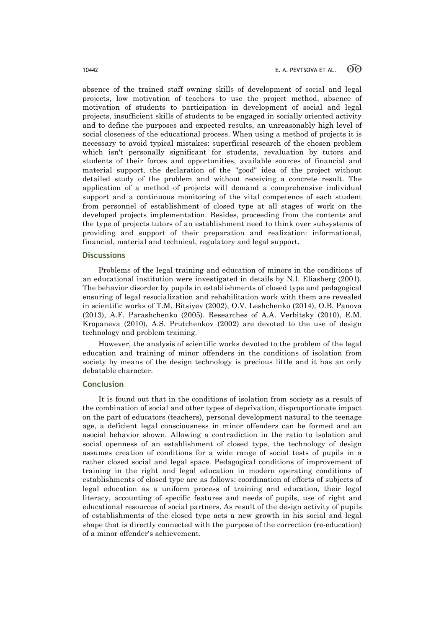absence of the trained staff owning skills of development of social and legal projects, low motivation of teachers to use the project method, absence of motivation of students to participation in development of social and legal projects, insufficient skills of students to be engaged in socially oriented activity and to define the purposes and expected results, an unreasonably high level of social closeness of the educational process. When using a method of projects it is necessary to avoid typical mistakes: superficial research of the chosen problem which isn't personally significant for students, revaluation by tutors and students of their forces and opportunities, available sources of financial and material support, the declaration of the "good" idea of the project without detailed study of the problem and without receiving a concrete result. The application of a method of projects will demand a comprehensive individual support and a continuous monitoring of the vital competence of each student from personnel of establishment of closed type at all stages of work on the developed projects implementation. Besides, proceeding from the contents and the type of projects tutors of an establishment need to think over subsystems of providing and support of their preparation and realization: informational, financial, material and technical, regulatory and legal support.

### **Discussions**

Problems of the legal training and education of minors in the conditions of an educational institution were investigated in details by N.I. Eliasberg (2001). The behavior disorder by pupils in establishments of closed type and pedagogical ensuring of legal resocialization and rehabilitation work with them are revealed in scientific works of T.M. Bitsiyev (2002), O.V. Leshchenko (2014), O.B. Panova (2013), A.F. Parashchenko (2005). Researches of A.A. Verbitsky (2010), E.M. Kropaneva (2010), A.S. Prutchenkov (2002) are devoted to the use of design technology and problem training.

However, the analysis of scientific works devoted to the problem of the legal education and training of minor offenders in the conditions of isolation from society by means of the design technology is precious little and it has an only debatable character.

### **Conclusion**

It is found out that in the conditions of isolation from society as a result of the combination of social and other types of deprivation, disproportionate impact on the part of educators (teachers), personal development natural to the teenage age, a deficient legal consciousness in minor offenders can be formed and an asocial behavior shown. Allowing a contradiction in the ratio to isolation and social openness of an establishment of closed type, the technology of design assumes creation of conditions for a wide range of social tests of pupils in a rather closed social and legal space. Pedagogical conditions of improvement of training in the right and legal education in modern operating conditions of establishments of closed type are as follows: coordination of efforts of subjects of legal education as a uniform process of training and education, their legal literacy, accounting of specific features and needs of pupils, use of right and educational resources of social partners. As result of the design activity of pupils of establishments of the closed type acts a new growth in his social and legal shape that is directly connected with the purpose of the correction (re-education) of a minor offender's achievement.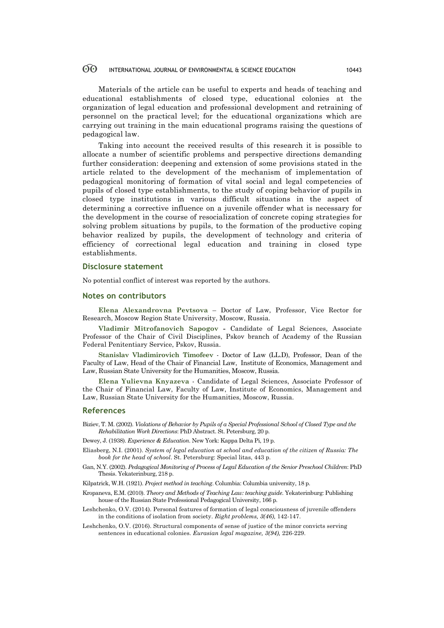Materials of the article can be useful to experts and heads of teaching and educational establishments of closed type, educational colonies at the organization of legal education and professional development and retraining of personnel on the practical level; for the educational organizations which are carrying out training in the main educational programs raising the questions of pedagogical law.

Taking into account the received results of this research it is possible to allocate a number of scientific problems and perspective directions demanding further consideration: deepening and extension of some provisions stated in the article related to the development of the mechanism of implementation of pedagogical monitoring of formation of vital social and legal competencies of pupils of closed type establishments, to the study of coping behavior of pupils in closed type institutions in various difficult situations in the aspect of determining a corrective influence on a juvenile offender what is necessary for the development in the course of resocialization of concrete coping strategies for solving problem situations by pupils, to the formation of the productive сoping behavior realized by pupils, the development of technology and criteria of efficiency of correctional legal education and training in closed type establishments.

### **Disclosure statement**

No potential conflict of interest was reported by the authors.

### **Notes on contributors**

**Elena Alexandrovna Pevtsova** – Doctor of Law, Professor, Vice Rector for Research, Moscow Region State University, Moscow, Russia.

**Vladimir Mitrofanovich Sapogov -** Candidate of Legal Sciences, Associate Professor of the Chair of Сivil Disciplines, Pskov branch of Academy of the Russian Federal Penitentiary Service, Pskov, Russia.

**Stanislav Vladimirovich Timofeev** - Doctor of Law (LL.D), Professor, Dean of the Faculty of Law, Head of the Chair of Financial Law, Institute of Economics, Management and Law, Russian State University for the Humanities, Moscow, Russia.

**Elena Yulievna Knyazeva** - Candidate of Legal Sciences, Associate Professor of the Chair of Financial Law, Faculty of Law, Institute of Economics, Management and Law, Russian State University for the Humanities, Moscow, Russia.

### **References**

- Biziev, Т. М. (2002). *Violations of Behavior by Pupils of a Special Professional School of Closed Type and the Rehabilitation Work Directions*: PhD Abstract. St. Petersburg, 20 p.
- Dewey, J. (1938). *Experience & Education*. New York: Kappa Delta Pi, 19 p.
- Eliasberg, N.I. (2001). *System of legal education at school and education of the citizen of Russia: The book for the head of school*. St. Petersburg: Special litas, 443 p.
- Gan, N.Y. (2002). *Pedagogical Monitoring of Process of Legal Education of the Senior Preschool Children*: PhD Thesis. Yekaterinburg, 218 p.
- Kilpatrick, W.H. (1921). *Project method in teaching*. Columbia: Columbia university, 18 p.
- Kropaneva, Е.М. (2010). *Theory and Methods of Teaching Law: teaching guide*. Yekaterinburg: Publishing house of the Russian State Professional Pedagogical University, 166 p.
- Leshchenko, O.V. (2014). Personal features of formation of legal consciousness of juvenile offenders in the conditions of isolation from society. *Right problems, 3(46),* 142-147.
- Leshchenko, O.V. (2016). Structural components of sense of justice of the minor convicts serving sentences in educational colonies. *Eurasian legal magazine, 3(94),* 226-229.